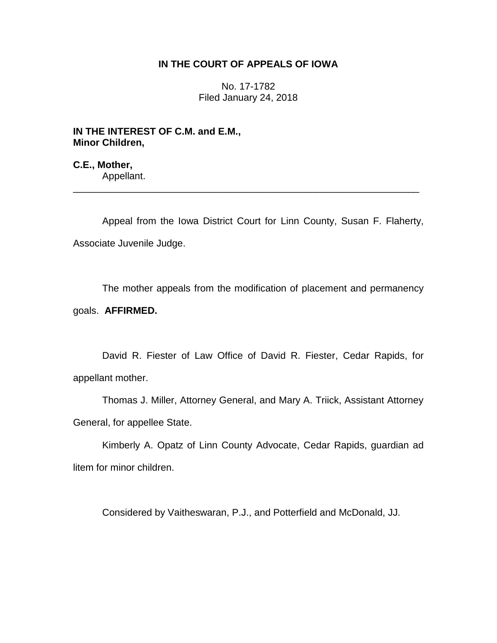# **IN THE COURT OF APPEALS OF IOWA**

No. 17-1782 Filed January 24, 2018

**IN THE INTEREST OF C.M. and E.M., Minor Children,**

**C.E., Mother,** Appellant.

Appeal from the Iowa District Court for Linn County, Susan F. Flaherty, Associate Juvenile Judge.

\_\_\_\_\_\_\_\_\_\_\_\_\_\_\_\_\_\_\_\_\_\_\_\_\_\_\_\_\_\_\_\_\_\_\_\_\_\_\_\_\_\_\_\_\_\_\_\_\_\_\_\_\_\_\_\_\_\_\_\_\_\_\_\_

The mother appeals from the modification of placement and permanency goals. **AFFIRMED.**

David R. Fiester of Law Office of David R. Fiester, Cedar Rapids, for appellant mother.

Thomas J. Miller, Attorney General, and Mary A. Triick, Assistant Attorney General, for appellee State.

Kimberly A. Opatz of Linn County Advocate, Cedar Rapids, guardian ad litem for minor children.

Considered by Vaitheswaran, P.J., and Potterfield and McDonald, JJ.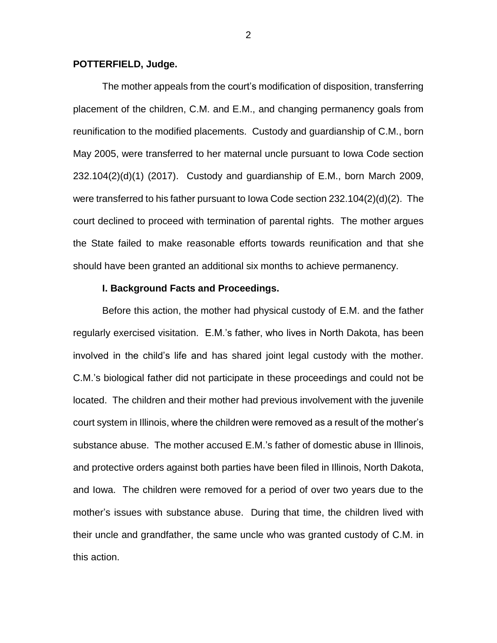### **POTTERFIELD, Judge.**

The mother appeals from the court's modification of disposition, transferring placement of the children, C.M. and E.M., and changing permanency goals from reunification to the modified placements. Custody and guardianship of C.M., born May 2005, were transferred to her maternal uncle pursuant to Iowa Code section  $232.104(2)(d)(1)$  (2017). Custody and quardianship of E.M., born March 2009, were transferred to his father pursuant to Iowa Code section 232.104(2)(d)(2). The court declined to proceed with termination of parental rights. The mother argues the State failed to make reasonable efforts towards reunification and that she should have been granted an additional six months to achieve permanency.

# **I. Background Facts and Proceedings.**

Before this action, the mother had physical custody of E.M. and the father regularly exercised visitation. E.M.'s father, who lives in North Dakota, has been involved in the child's life and has shared joint legal custody with the mother. C.M.'s biological father did not participate in these proceedings and could not be located. The children and their mother had previous involvement with the juvenile court system in Illinois, where the children were removed as a result of the mother's substance abuse. The mother accused E.M.'s father of domestic abuse in Illinois, and protective orders against both parties have been filed in Illinois, North Dakota, and Iowa. The children were removed for a period of over two years due to the mother's issues with substance abuse. During that time, the children lived with their uncle and grandfather, the same uncle who was granted custody of C.M. in this action.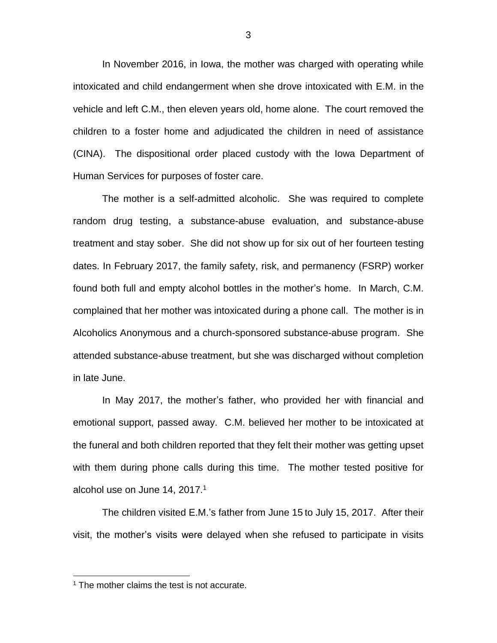In November 2016, in Iowa, the mother was charged with operating while intoxicated and child endangerment when she drove intoxicated with E.M. in the vehicle and left C.M., then eleven years old, home alone. The court removed the children to a foster home and adjudicated the children in need of assistance (CINA). The dispositional order placed custody with the Iowa Department of Human Services for purposes of foster care.

The mother is a self-admitted alcoholic. She was required to complete random drug testing, a substance-abuse evaluation, and substance-abuse treatment and stay sober. She did not show up for six out of her fourteen testing dates. In February 2017, the family safety, risk, and permanency (FSRP) worker found both full and empty alcohol bottles in the mother's home. In March, C.M. complained that her mother was intoxicated during a phone call. The mother is in Alcoholics Anonymous and a church-sponsored substance-abuse program. She attended substance-abuse treatment, but she was discharged without completion in late June.

In May 2017, the mother's father, who provided her with financial and emotional support, passed away. C.M. believed her mother to be intoxicated at the funeral and both children reported that they felt their mother was getting upset with them during phone calls during this time. The mother tested positive for alcohol use on June 14, 2017.<sup>1</sup>

The children visited E.M.'s father from June 15 to July 15, 2017. After their visit, the mother's visits were delayed when she refused to participate in visits

 $\overline{a}$ 

 $1$  The mother claims the test is not accurate.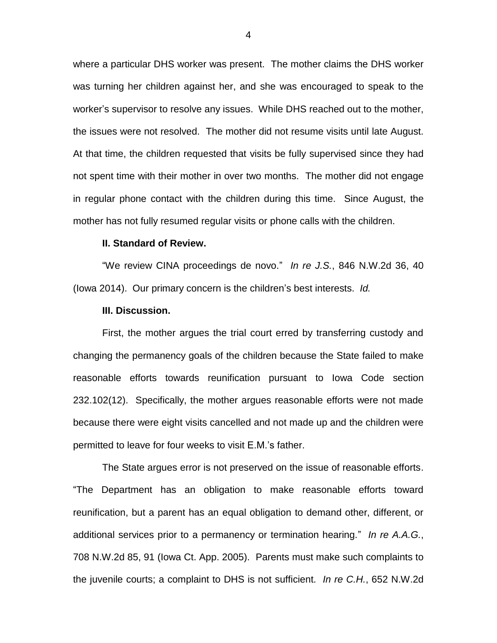where a particular DHS worker was present. The mother claims the DHS worker was turning her children against her, and she was encouraged to speak to the worker's supervisor to resolve any issues. While DHS reached out to the mother, the issues were not resolved. The mother did not resume visits until late August. At that time, the children requested that visits be fully supervised since they had not spent time with their mother in over two months. The mother did not engage in regular phone contact with the children during this time. Since August, the mother has not fully resumed regular visits or phone calls with the children.

# **II. Standard of Review.**

"We review CINA proceedings de novo." *In re J.S.*, 846 N.W.2d 36, 40 (Iowa 2014). Our primary concern is the children's best interests. *Id.* 

#### **III. Discussion.**

First, the mother argues the trial court erred by transferring custody and changing the permanency goals of the children because the State failed to make reasonable efforts towards reunification pursuant to Iowa Code section 232.102(12). Specifically, the mother argues reasonable efforts were not made because there were eight visits cancelled and not made up and the children were permitted to leave for four weeks to visit E.M.'s father.

The State argues error is not preserved on the issue of reasonable efforts. "The Department has an obligation to make reasonable efforts toward reunification, but a parent has an equal obligation to demand other, different, or additional services prior to a permanency or termination hearing." *In re A.A.G.*, 708 N.W.2d 85, 91 (Iowa Ct. App. 2005). Parents must make such complaints to the juvenile courts; a complaint to DHS is not sufficient. *In re C.H.*, 652 N.W.2d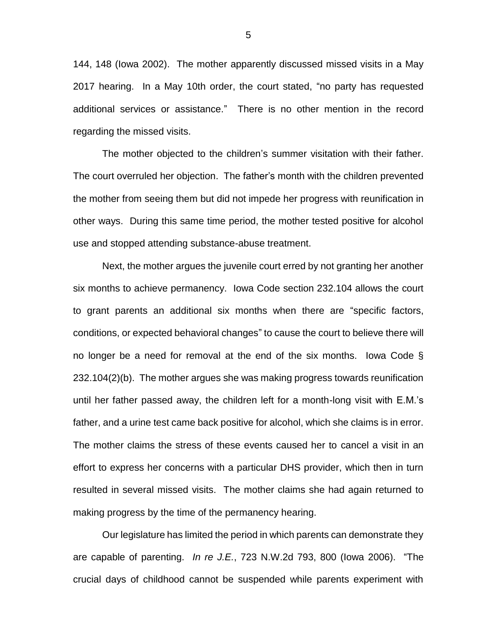144, 148 (Iowa 2002). The mother apparently discussed missed visits in a May 2017 hearing. In a May 10th order, the court stated, "no party has requested additional services or assistance." There is no other mention in the record regarding the missed visits.

The mother objected to the children's summer visitation with their father. The court overruled her objection. The father's month with the children prevented the mother from seeing them but did not impede her progress with reunification in other ways. During this same time period, the mother tested positive for alcohol use and stopped attending substance-abuse treatment.

Next, the mother argues the juvenile court erred by not granting her another six months to achieve permanency. Iowa Code section 232.104 allows the court to grant parents an additional six months when there are "specific factors, conditions, or expected behavioral changes" to cause the court to believe there will no longer be a need for removal at the end of the six months. Iowa Code § 232.104(2)(b). The mother argues she was making progress towards reunification until her father passed away, the children left for a month-long visit with E.M.'s father, and a urine test came back positive for alcohol, which she claims is in error. The mother claims the stress of these events caused her to cancel a visit in an effort to express her concerns with a particular DHS provider, which then in turn resulted in several missed visits. The mother claims she had again returned to making progress by the time of the permanency hearing.

Our legislature has limited the period in which parents can demonstrate they are capable of parenting. *In re J.E.*, 723 N.W.2d 793, 800 (Iowa 2006). "The crucial days of childhood cannot be suspended while parents experiment with

5